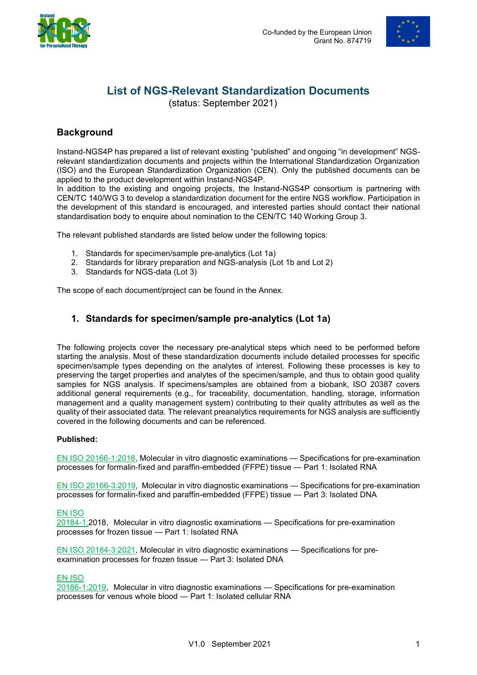



# **List of NGS-Relevant Standardization Documents**

(status: September 2021)

# **Background**

Instand-NGS4P has prepared a list of relevant existing "published" and ongoing "in development" NGSrelevant standardization documents and projects within the International Standardization Organization (ISO) and the European Standardization Organization (CEN). Only the published documents can be applied to the product development within Instand-NGS4P.

In addition to the existing and ongoing projects, the Instand-NGS4P consortium is partnering with CEN/TC 140/WG 3 to develop a standardization document for the entire NGS workflow. Participation in the development of this standard is encouraged, and interested parties should contact their national standardisation body to enquire about nomination to the CEN/TC 140 Working Group 3.

The relevant published standards are listed below under the following topics:

- 1. Standards for specimen/sample pre-analytics (Lot 1a)
- 2. Standards for library preparation and NGS-analysis (Lot 1b and Lot 2)
- 3. Standards for NGS-data (Lot 3)

The scope of each document/project can be found in the Annex.

## **1. Standards for specimen/sample pre-analytics (Lot 1a)**

The following projects cover the necessary pre-analytical steps which need to be performed before starting the analysis. Most of these standardization documents include detailed processes for specific specimen/sample types depending on the analytes of interest. Following these processes is key to preserving the target properties and analytes of the specimen/sample, and thus to obtain good quality samples for NGS analysis. If specimens/samples are obtained from a biobank, ISO 20387 covers additional general requirements (e.g., for traceability, documentation, handling, storage, information management and a quality management system) contributing to their quality attributes as well as the quality of their associated data. The relevant preanalytics requirements for NGS analysis are sufficiently covered in the following documents and can be referenced.

#### **Published:**

[EN ISO 20166-1:2018,](#page-3-0) Molecular in vitro diagnostic examinations — Specifications for pre-examination processes for formalin-fixed and paraffin-embedded (FFPE) tissue — Part 1: Isolated RNA

[EN ISO 20166-3:2019,](#page-3-1) Molecular in vitro diagnostic examinations — Specifications for pre-examination processes for formalin-fixed and paraffin-embedded (FFPE) tissue — Part 3: Isolated DNA

#### [EN ISO](#page-3-2)

[20184-1:2018,](#page-3-2) Molecular in vitro diagnostic examinations — Specifications for pre-examination processes for frozen tissue — Part 1: Isolated RNA

[EN ISO 20184-3:2021,](#page-4-0) Molecular in vitro diagnostic examinations — Specifications for preexamination processes for frozen tissue — Part 3: Isolated DNA

#### [EN ISO](#page-4-1)

[20186-1:2019,](#page-4-1) Molecular in vitro diagnostic examinations — Specifications for pre-examination processes for venous whole blood — Part 1: Isolated cellular RNA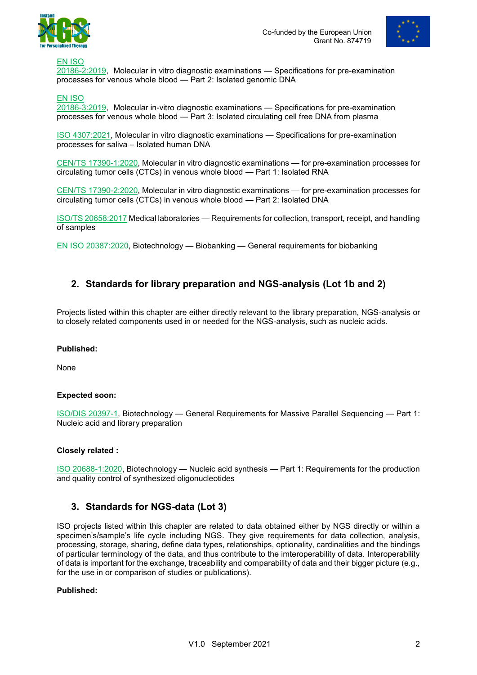



[EN ISO](#page-4-2) [20186-2:2019,](#page-4-2) Molecular in vitro diagnostic examinations — Specifications for pre-examination processes for venous whole blood — Part 2: Isolated genomic DNA

#### [EN ISO](#page-5-0)

[20186-3:2019,](#page-5-0) Molecular in-vitro diagnostic examinations — Specifications for pre-examination processes for venous whole blood — Part 3: Isolated circulating cell free DNA from plasma

[ISO 4307:2021,](#page-5-1) Molecular in vitro diagnostic examinations — Specifications for pre-examination processes for saliva – Isolated human DNA

CEN/TS [17390-1:2020,](#page-5-2) Molecular in vitro diagnostic examinations — for pre-examination processes for circulating tumor cells (CTCs) in venous whole blood — Part 1: Isolated RNA

CEN/TS [17390-2:2020,](#page-6-0) Molecular in vitro diagnostic examinations — for pre-examination processes for circulating tumor cells (CTCs) in venous whole blood — Part 2: Isolated DNA

[ISO/TS 20658:2017](#page-6-1) Medical laboratories — Requirements for collection, transport, receipt, and handling of samples

[EN ISO 20387:2020,](#page-6-2) Biotechnology — Biobanking — General requirements for biobanking

### **2. Standards for library preparation and NGS-analysis (Lot 1b and 2)**

Projects listed within this chapter are either directly relevant to the library preparation, NGS-analysis or to closely related components used in or needed for the NGS-analysis, such as nucleic acids.

#### **Published:**

None

#### **Expected soon:**

ISO/DIS [20397-1,](#page-7-0) Biotechnology — General Requirements for Massive Parallel Sequencing — Part 1: Nucleic acid and library preparation

#### **Closely related :**

[ISO 20688-1:2020,](#page-7-1) Biotechnology — Nucleic acid synthesis — Part 1: Requirements for the production and quality control of synthesized oligonucleotides

#### **3. Standards for NGS-data (Lot 3)**

ISO projects listed within this chapter are related to data obtained either by NGS directly or within a specimen's/sample's life cycle including NGS. They give requirements for data collection, analysis, processing, storage, sharing, define data types, relationships, optionality, cardinalities and the bindings of particular terminology of the data, and thus contribute to the imteroperability of data. Interoperability of data is important for the exchange, traceability and comparability of data and their bigger picture (e.g., for the use in or comparison of studies or publications).

#### **Published:**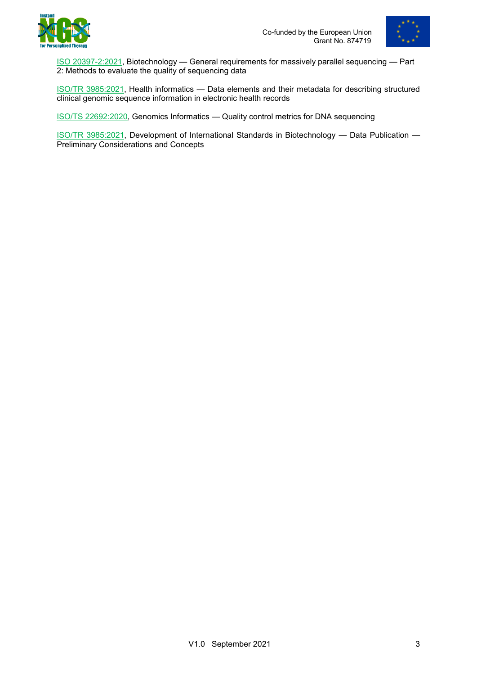



ISO [20397-2:2021,](#page-7-2) Biotechnology — General requirements for massively parallel sequencing — Part 2: Methods to evaluate the quality of sequencing data

[ISO/TR 3985:2021,](#page-8-0) Health informatics — Data elements and their metadata for describing structured clinical genomic sequence information in electronic health records

[ISO/TS 22692:2020,](#page-8-1) Genomics Informatics — Quality control metrics for DNA sequencing

[ISO/TR 3985:2021,](#page-8-0) Development of International Standards in Biotechnology — Data Publication — Preliminary Considerations and Concepts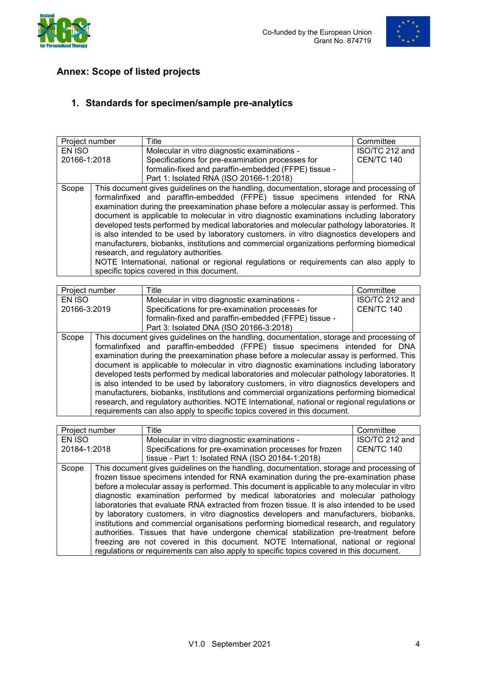



# **Annex: Scope of listed projects**

# **1. Standards for specimen/sample pre-analytics**

<span id="page-3-0"></span>

| Project number                                                                           | Title                                                | Committee                                                                                                                                                                                                                                                                                                                                                                                                                                                                                                                                                                                                                                                                                                                                                                             |
|------------------------------------------------------------------------------------------|------------------------------------------------------|---------------------------------------------------------------------------------------------------------------------------------------------------------------------------------------------------------------------------------------------------------------------------------------------------------------------------------------------------------------------------------------------------------------------------------------------------------------------------------------------------------------------------------------------------------------------------------------------------------------------------------------------------------------------------------------------------------------------------------------------------------------------------------------|
|                                                                                          | Molecular in vitro diagnostic examinations -         | ISO/TC 212 and                                                                                                                                                                                                                                                                                                                                                                                                                                                                                                                                                                                                                                                                                                                                                                        |
| 20166-1:2018                                                                             | Specifications for pre-examination processes for     | CEN/TC 140                                                                                                                                                                                                                                                                                                                                                                                                                                                                                                                                                                                                                                                                                                                                                                            |
|                                                                                          | formalin-fixed and paraffin-embedded (FFPE) tissue - |                                                                                                                                                                                                                                                                                                                                                                                                                                                                                                                                                                                                                                                                                                                                                                                       |
|                                                                                          |                                                      |                                                                                                                                                                                                                                                                                                                                                                                                                                                                                                                                                                                                                                                                                                                                                                                       |
|                                                                                          |                                                      |                                                                                                                                                                                                                                                                                                                                                                                                                                                                                                                                                                                                                                                                                                                                                                                       |
|                                                                                          |                                                      |                                                                                                                                                                                                                                                                                                                                                                                                                                                                                                                                                                                                                                                                                                                                                                                       |
|                                                                                          |                                                      |                                                                                                                                                                                                                                                                                                                                                                                                                                                                                                                                                                                                                                                                                                                                                                                       |
|                                                                                          |                                                      |                                                                                                                                                                                                                                                                                                                                                                                                                                                                                                                                                                                                                                                                                                                                                                                       |
|                                                                                          |                                                      |                                                                                                                                                                                                                                                                                                                                                                                                                                                                                                                                                                                                                                                                                                                                                                                       |
|                                                                                          |                                                      |                                                                                                                                                                                                                                                                                                                                                                                                                                                                                                                                                                                                                                                                                                                                                                                       |
| manufacturers, biobanks, institutions and commercial organizations performing biomedical |                                                      |                                                                                                                                                                                                                                                                                                                                                                                                                                                                                                                                                                                                                                                                                                                                                                                       |
|                                                                                          |                                                      |                                                                                                                                                                                                                                                                                                                                                                                                                                                                                                                                                                                                                                                                                                                                                                                       |
|                                                                                          |                                                      |                                                                                                                                                                                                                                                                                                                                                                                                                                                                                                                                                                                                                                                                                                                                                                                       |
|                                                                                          |                                                      |                                                                                                                                                                                                                                                                                                                                                                                                                                                                                                                                                                                                                                                                                                                                                                                       |
|                                                                                          |                                                      | Part 1: Isolated RNA (ISO 20166-1:2018)<br>This document gives guidelines on the handling, documentation, storage and processing of<br>formalinfixed and paraffin-embedded (FFPE) tissue specimens intended for RNA<br>examination during the preexamination phase before a molecular assay is performed. This<br>document is applicable to molecular in vitro diagnostic examinations including laboratory<br>developed tests performed by medical laboratories and molecular pathology laboratories. It<br>is also intended to be used by laboratory customers, in vitro diagnostics developers and<br>research, and regulatory authorities.<br>NOTE International, national or regional regulations or requirements can also apply to<br>specific topics covered in this document. |

<span id="page-3-1"></span>

| Project number | Title                                                                                                                                                                                                                                                                                                                                                                                                                                                                                                                                                                                                                                                                                                                                                                                                                               | Committee         |
|----------------|-------------------------------------------------------------------------------------------------------------------------------------------------------------------------------------------------------------------------------------------------------------------------------------------------------------------------------------------------------------------------------------------------------------------------------------------------------------------------------------------------------------------------------------------------------------------------------------------------------------------------------------------------------------------------------------------------------------------------------------------------------------------------------------------------------------------------------------|-------------------|
| EN ISO         | Molecular in vitro diagnostic examinations -                                                                                                                                                                                                                                                                                                                                                                                                                                                                                                                                                                                                                                                                                                                                                                                        | ISO/TC 212 and    |
| 20166-3:2019   | Specifications for pre-examination processes for                                                                                                                                                                                                                                                                                                                                                                                                                                                                                                                                                                                                                                                                                                                                                                                    | <b>CEN/TC 140</b> |
|                | formalin-fixed and paraffin-embedded (FFPE) tissue -                                                                                                                                                                                                                                                                                                                                                                                                                                                                                                                                                                                                                                                                                                                                                                                |                   |
|                | Part 3: Isolated DNA (ISO 20166-3:2018)                                                                                                                                                                                                                                                                                                                                                                                                                                                                                                                                                                                                                                                                                                                                                                                             |                   |
| Scope          | This document gives guidelines on the handling, documentation, storage and processing of<br>formalinfixed and paraffin-embedded (FFPE) tissue specimens intended for DNA<br>examination during the preexamination phase before a molecular assay is performed. This<br>document is applicable to molecular in vitro diagnostic examinations including laboratory<br>developed tests performed by medical laboratories and molecular pathology laboratories. It<br>is also intended to be used by laboratory customers, in vitro diagnostics developers and<br>manufacturers, biobanks, institutions and commercial organizations performing biomedical<br>research, and regulatory authorities. NOTE International, national or regional regulations or<br>requirements can also apply to specific topics covered in this document. |                   |

<span id="page-3-2"></span>

|              | Project number<br>Title                                                                  |                                                                                              | Committee         |
|--------------|------------------------------------------------------------------------------------------|----------------------------------------------------------------------------------------------|-------------------|
| EN ISO       |                                                                                          | Molecular in vitro diagnostic examinations -                                                 | ISO/TC 212 and    |
| 20184-1:2018 |                                                                                          | Specifications for pre-examination processes for frozen                                      | <b>CEN/TC 140</b> |
|              |                                                                                          | tissue - Part 1: Isolated RNA (ISO 20184-1:2018)                                             |                   |
| Scope        |                                                                                          | This document gives guidelines on the handling, documentation, storage and processing of     |                   |
|              |                                                                                          | frozen tissue specimens intended for RNA examination during the pre-examination phase        |                   |
|              |                                                                                          | before a molecular assay is performed. This document is applicable to any molecular in vitro |                   |
|              |                                                                                          | diagnostic examination performed by medical laboratories and molecular pathology             |                   |
|              |                                                                                          | laboratories that evaluate RNA extracted from frozen tissue. It is also intended to be used  |                   |
|              |                                                                                          | by laboratory customers, in vitro diagnostics developers and manufacturers, biobanks,        |                   |
|              | institutions and commercial organisations performing biomedical research, and regulatory |                                                                                              |                   |
|              | authorities. Tissues that have undergone chemical stabilization pre-treatment before     |                                                                                              |                   |
|              |                                                                                          | freezing are not covered in this document. NOTE International, national or regional          |                   |
|              |                                                                                          | regulations or requirements can also apply to specific topics covered in this document.      |                   |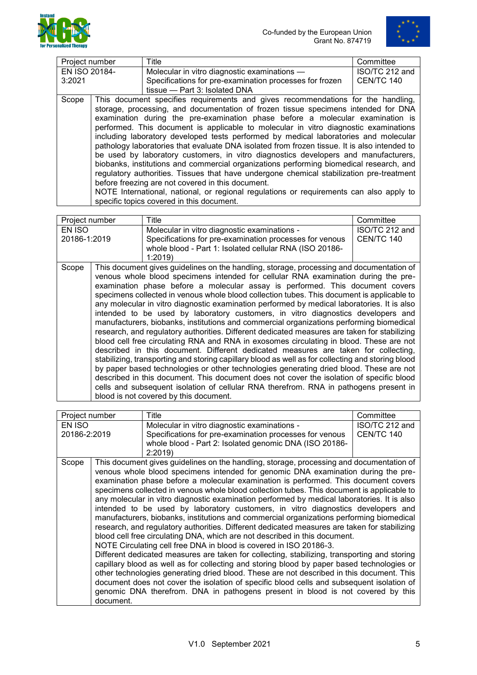



<span id="page-4-0"></span>

| Project number |                                                                                                                                               | Title                                                                                        | Committee         |
|----------------|-----------------------------------------------------------------------------------------------------------------------------------------------|----------------------------------------------------------------------------------------------|-------------------|
| EN ISO 20184-  |                                                                                                                                               | Molecular in vitro diagnostic examinations —                                                 | ISO/TC 212 and    |
| 3:2021         |                                                                                                                                               | Specifications for pre-examination processes for frozen                                      | <b>CEN/TC 140</b> |
|                |                                                                                                                                               | tissue - Part 3: Isolated DNA                                                                |                   |
| Scope          |                                                                                                                                               | This document specifies requirements and gives recommendations for the handling,             |                   |
|                |                                                                                                                                               | storage, processing, and documentation of frozen tissue specimens intended for DNA           |                   |
|                |                                                                                                                                               | examination during the pre-examination phase before a molecular examination is               |                   |
|                |                                                                                                                                               | performed. This document is applicable to molecular in vitro diagnostic examinations         |                   |
|                |                                                                                                                                               | including laboratory developed tests performed by medical laboratories and molecular         |                   |
|                |                                                                                                                                               | pathology laboratories that evaluate DNA isolated from frozen tissue. It is also intended to |                   |
|                |                                                                                                                                               | be used by laboratory customers, in vitro diagnostics developers and manufacturers,          |                   |
|                |                                                                                                                                               | biobanks, institutions and commercial organizations performing biomedical research, and      |                   |
|                | regulatory authorities. Tissues that have undergone chemical stabilization pre-treatment<br>before freezing are not covered in this document. |                                                                                              |                   |
|                |                                                                                                                                               |                                                                                              |                   |
|                |                                                                                                                                               | NOTE International, national, or regional regulations or requirements can also apply to      |                   |
|                |                                                                                                                                               | specific topics covered in this document.                                                    |                   |

<span id="page-4-1"></span>

| Project number<br>Title<br>Committee                                                              |                |
|---------------------------------------------------------------------------------------------------|----------------|
| Molecular in vitro diagnostic examinations -<br>EN ISO                                            | ISO/TC 212 and |
| Specifications for pre-examination processes for venous<br>CEN/TC 140<br>20186-1:2019             |                |
| whole blood - Part 1: Isolated cellular RNA (ISO 20186-                                           |                |
| 1:2019                                                                                            |                |
| This document gives guidelines on the handling, storage, processing and documentation of<br>Scope |                |
| venous whole blood specimens intended for cellular RNA examination during the pre-                |                |
| examination phase before a molecular assay is performed. This document covers                     |                |
| specimens collected in venous whole blood collection tubes. This document is applicable to        |                |
| any molecular in vitro diagnostic examination performed by medical laboratories. It is also       |                |
| intended to be used by laboratory customers, in vitro diagnostics developers and                  |                |
| manufacturers, biobanks, institutions and commercial organizations performing biomedical          |                |
| research, and regulatory authorities. Different dedicated measures are taken for stabilizing      |                |
| blood cell free circulating RNA and RNA in exosomes circulating in blood. These are not           |                |
| described in this document. Different dedicated measures are taken for collecting,                |                |
| stabilizing, transporting and storing capillary blood as well as for collecting and storing blood |                |
| by paper based technologies or other technologies generating dried blood. These are not           |                |
| described in this document. This document does not cover the isolation of specific blood          |                |
| cells and subsequent isolation of cellular RNA therefrom. RNA in pathogens present in             |                |
| blood is not covered by this document.                                                            |                |

<span id="page-4-2"></span>

| Project number |           | Title                                                                                                                                                                        | Committee      |
|----------------|-----------|------------------------------------------------------------------------------------------------------------------------------------------------------------------------------|----------------|
| EN ISO         |           | Molecular in vitro diagnostic examinations -                                                                                                                                 | ISO/TC 212 and |
| 20186-2:2019   |           | Specifications for pre-examination processes for venous                                                                                                                      | CEN/TC 140     |
|                |           | whole blood - Part 2: Isolated genomic DNA (ISO 20186-                                                                                                                       |                |
|                |           | 2:2019                                                                                                                                                                       |                |
| Scope          |           | This document gives guidelines on the handling, storage, processing and documentation of                                                                                     |                |
|                |           | venous whole blood specimens intended for genomic DNA examination during the pre-                                                                                            |                |
|                |           | examination phase before a molecular examination is performed. This document covers                                                                                          |                |
|                |           | specimens collected in venous whole blood collection tubes. This document is applicable to                                                                                   |                |
|                |           | any molecular in vitro diagnostic examination performed by medical laboratories. It is also                                                                                  |                |
|                |           | intended to be used by laboratory customers, in vitro diagnostics developers and<br>manufacturers, biobanks, institutions and commercial organizations performing biomedical |                |
|                |           | research, and regulatory authorities. Different dedicated measures are taken for stabilizing                                                                                 |                |
|                |           | blood cell free circulating DNA, which are not described in this document.                                                                                                   |                |
|                |           | NOTE Circulating cell free DNA in blood is covered in ISO 20186-3.                                                                                                           |                |
|                |           | Different dedicated measures are taken for collecting, stabilizing, transporting and storing                                                                                 |                |
|                |           | capillary blood as well as for collecting and storing blood by paper based technologies or                                                                                   |                |
|                |           | other technologies generating dried blood. These are not described in this document. This                                                                                    |                |
|                |           | document does not cover the isolation of specific blood cells and subsequent isolation of                                                                                    |                |
|                |           | genomic DNA therefrom. DNA in pathogens present in blood is not covered by this                                                                                              |                |
|                | document. |                                                                                                                                                                              |                |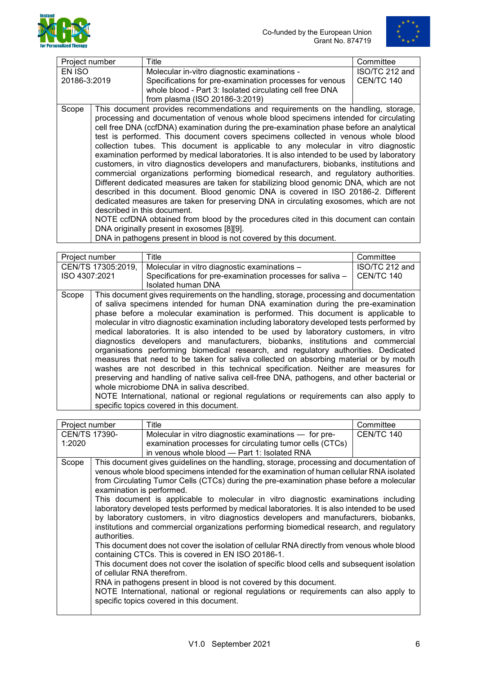



<span id="page-5-0"></span>

|                |  | Title                                                                                                                                                                                                                                                                                                                                                                                                                                                                                                                                                                                                                                                                                                                                                                                                                                                                                                                                                                                                                                                                                                                                                                                                                                                      | Committee      |
|----------------|--|------------------------------------------------------------------------------------------------------------------------------------------------------------------------------------------------------------------------------------------------------------------------------------------------------------------------------------------------------------------------------------------------------------------------------------------------------------------------------------------------------------------------------------------------------------------------------------------------------------------------------------------------------------------------------------------------------------------------------------------------------------------------------------------------------------------------------------------------------------------------------------------------------------------------------------------------------------------------------------------------------------------------------------------------------------------------------------------------------------------------------------------------------------------------------------------------------------------------------------------------------------|----------------|
| Project number |  |                                                                                                                                                                                                                                                                                                                                                                                                                                                                                                                                                                                                                                                                                                                                                                                                                                                                                                                                                                                                                                                                                                                                                                                                                                                            |                |
| EN ISO         |  | Molecular in-vitro diagnostic examinations -                                                                                                                                                                                                                                                                                                                                                                                                                                                                                                                                                                                                                                                                                                                                                                                                                                                                                                                                                                                                                                                                                                                                                                                                               | ISO/TC 212 and |
| 20186-3:2019   |  | Specifications for pre-examination processes for venous                                                                                                                                                                                                                                                                                                                                                                                                                                                                                                                                                                                                                                                                                                                                                                                                                                                                                                                                                                                                                                                                                                                                                                                                    | CEN/TC 140     |
|                |  | whole blood - Part 3: Isolated circulating cell free DNA                                                                                                                                                                                                                                                                                                                                                                                                                                                                                                                                                                                                                                                                                                                                                                                                                                                                                                                                                                                                                                                                                                                                                                                                   |                |
|                |  | from plasma (ISO 20186-3:2019)                                                                                                                                                                                                                                                                                                                                                                                                                                                                                                                                                                                                                                                                                                                                                                                                                                                                                                                                                                                                                                                                                                                                                                                                                             |                |
| Scope          |  | This document provides recommendations and requirements on the handling, storage,<br>processing and documentation of venous whole blood specimens intended for circulating<br>cell free DNA (ccfDNA) examination during the pre-examination phase before an analytical<br>test is performed. This document covers specimens collected in venous whole blood<br>collection tubes. This document is applicable to any molecular in vitro diagnostic<br>examination performed by medical laboratories. It is also intended to be used by laboratory<br>customers, in vitro diagnostics developers and manufacturers, biobanks, institutions and<br>commercial organizations performing biomedical research, and regulatory authorities.<br>Different dedicated measures are taken for stabilizing blood genomic DNA, which are not<br>described in this document. Blood genomic DNA is covered in ISO 20186-2. Different<br>dedicated measures are taken for preserving DNA in circulating exosomes, which are not<br>described in this document.<br>NOTE ccfDNA obtained from blood by the procedures cited in this document can contain<br>DNA originally present in exosomes [8][9].<br>DNA in pathogens present in blood is not covered by this document. |                |

<span id="page-5-1"></span>

| Project number |                    | Title                                                                                                                                                                                                                                                                                                                                                                                                                                                                                                                                                                                                                                                                                                                                                                                                                                                                                                                                                                                                                                                                                                | Committee      |
|----------------|--------------------|------------------------------------------------------------------------------------------------------------------------------------------------------------------------------------------------------------------------------------------------------------------------------------------------------------------------------------------------------------------------------------------------------------------------------------------------------------------------------------------------------------------------------------------------------------------------------------------------------------------------------------------------------------------------------------------------------------------------------------------------------------------------------------------------------------------------------------------------------------------------------------------------------------------------------------------------------------------------------------------------------------------------------------------------------------------------------------------------------|----------------|
|                | CEN/TS 17305:2019, | Molecular in vitro diagnostic examinations -                                                                                                                                                                                                                                                                                                                                                                                                                                                                                                                                                                                                                                                                                                                                                                                                                                                                                                                                                                                                                                                         | ISO/TC 212 and |
| ISO 4307:2021  |                    | Specifications for pre-examination processes for saliva -<br><b>Isolated human DNA</b>                                                                                                                                                                                                                                                                                                                                                                                                                                                                                                                                                                                                                                                                                                                                                                                                                                                                                                                                                                                                               | CEN/TC 140     |
| Scope          |                    | This document gives requirements on the handling, storage, processing and documentation<br>of saliva specimens intended for human DNA examination during the pre-examination<br>phase before a molecular examination is performed. This document is applicable to<br>molecular in vitro diagnostic examination including laboratory developed tests performed by<br>medical laboratories. It is also intended to be used by laboratory customers, in vitro<br>diagnostics developers and manufacturers, biobanks, institutions and commercial<br>organisations performing biomedical research, and regulatory authorities. Dedicated<br>measures that need to be taken for saliva collected on absorbing material or by mouth<br>washes are not described in this technical specification. Neither are measures for<br>preserving and handling of native saliva cell-free DNA, pathogens, and other bacterial or<br>whole microbiome DNA in saliva described.<br>NOTE International, national or regional regulations or requirements can also apply to<br>specific topics covered in this document. |                |

<span id="page-5-2"></span>

| Project number       |                            | Title                                                                                        | Committee  |
|----------------------|----------------------------|----------------------------------------------------------------------------------------------|------------|
| <b>CEN/TS 17390-</b> |                            | Molecular in vitro diagnostic examinations - for pre-                                        | CEN/TC 140 |
| 1:2020               |                            | examination processes for circulating tumor cells (CTCs)                                     |            |
|                      |                            | in venous whole blood - Part 1: Isolated RNA                                                 |            |
| Scope                |                            | This document gives guidelines on the handling, storage, processing and documentation of     |            |
|                      |                            | venous whole blood specimens intended for the examination of human cellular RNA isolated     |            |
|                      |                            | from Circulating Tumor Cells (CTCs) during the pre-examination phase before a molecular      |            |
|                      | examination is performed.  |                                                                                              |            |
|                      |                            | This document is applicable to molecular in vitro diagnostic examinations including          |            |
|                      |                            | laboratory developed tests performed by medical laboratories. It is also intended to be used |            |
|                      |                            | by laboratory customers, in vitro diagnostics developers and manufacturers, biobanks,        |            |
|                      |                            | institutions and commercial organizations performing biomedical research, and regulatory     |            |
|                      | authorities.               |                                                                                              |            |
|                      |                            | This document does not cover the isolation of cellular RNA directly from venous whole blood  |            |
|                      |                            | containing CTCs. This is covered in EN ISO 20186-1.                                          |            |
|                      |                            | This document does not cover the isolation of specific blood cells and subsequent isolation  |            |
|                      | of cellular RNA therefrom. |                                                                                              |            |
|                      |                            | RNA in pathogens present in blood is not covered by this document.                           |            |
|                      |                            | NOTE International, national or regional regulations or requirements can also apply to       |            |
|                      |                            | specific topics covered in this document.                                                    |            |
|                      |                            |                                                                                              |            |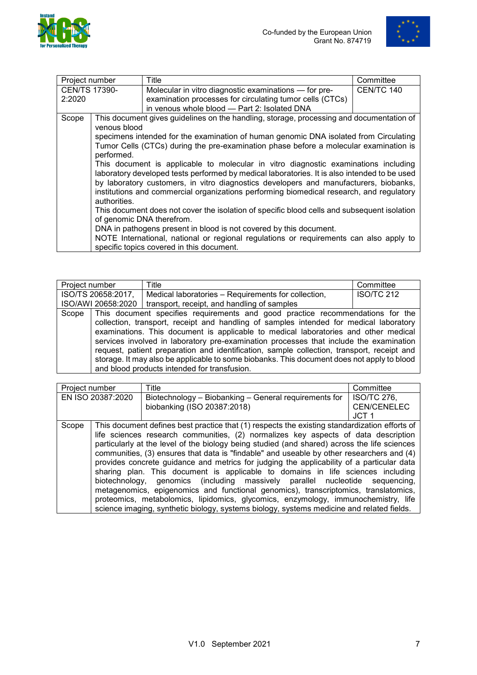



<span id="page-6-0"></span>

| Project number       |              | Title                                                                                        | Committee  |
|----------------------|--------------|----------------------------------------------------------------------------------------------|------------|
| <b>CEN/TS 17390-</b> |              | Molecular in vitro diagnostic examinations - for pre-                                        | CEN/TC 140 |
| 2:2020               |              | examination processes for circulating tumor cells (CTCs)                                     |            |
|                      |              | in venous whole blood - Part 2: Isolated DNA                                                 |            |
| Scope                |              | This document gives guidelines on the handling, storage, processing and documentation of     |            |
|                      | venous blood |                                                                                              |            |
|                      |              | specimens intended for the examination of human genomic DNA isolated from Circulating        |            |
|                      |              | Tumor Cells (CTCs) during the pre-examination phase before a molecular examination is        |            |
|                      | performed.   |                                                                                              |            |
|                      |              | This document is applicable to molecular in vitro diagnostic examinations including          |            |
|                      |              | laboratory developed tests performed by medical laboratories. It is also intended to be used |            |
|                      |              | by laboratory customers, in vitro diagnostics developers and manufacturers, biobanks,        |            |
|                      |              | institutions and commercial organizations performing biomedical research, and regulatory     |            |
|                      | authorities. |                                                                                              |            |
|                      |              | This document does not cover the isolation of specific blood cells and subsequent isolation  |            |
|                      |              | of genomic DNA therefrom.                                                                    |            |
|                      |              | DNA in pathogens present in blood is not covered by this document.                           |            |
|                      |              | NOTE International, national or regional regulations or requirements can also apply to       |            |
|                      |              | specific topics covered in this document.                                                    |            |

<span id="page-6-1"></span>

| Project number     | Title                                                                                                                                                                                                                                                                                                                                                                                                                                                                                                                                                                                                 | Committee         |
|--------------------|-------------------------------------------------------------------------------------------------------------------------------------------------------------------------------------------------------------------------------------------------------------------------------------------------------------------------------------------------------------------------------------------------------------------------------------------------------------------------------------------------------------------------------------------------------------------------------------------------------|-------------------|
| ISO/TS 20658:2017, | Medical laboratories – Requirements for collection,                                                                                                                                                                                                                                                                                                                                                                                                                                                                                                                                                   | <b>ISO/TC 212</b> |
| ISO/AWI 20658:2020 | transport, receipt, and handling of samples                                                                                                                                                                                                                                                                                                                                                                                                                                                                                                                                                           |                   |
| Scope              | This document specifies requirements and good practice recommendations for the<br>collection, transport, receipt and handling of samples intended for medical laboratory<br>examinations. This document is applicable to medical laboratories and other medical<br>services involved in laboratory pre-examination processes that include the examination<br>request, patient preparation and identification, sample collection, transport, receipt and<br>storage. It may also be applicable to some biobanks. This document does not apply to blood<br>and blood products intended for transfusion. |                   |

<span id="page-6-2"></span>

| Project number |                   | Title                                                                                         | Committee          |
|----------------|-------------------|-----------------------------------------------------------------------------------------------|--------------------|
|                | EN ISO 20387:2020 | Biotechnology - Biobanking - General requirements for                                         | <b>ISO/TC 276,</b> |
|                |                   | biobanking (ISO 20387:2018)                                                                   | <b>CEN/CENELEC</b> |
|                |                   |                                                                                               | JCT <sub>1</sub>   |
| Scope          |                   | This document defines best practice that (1) respects the existing standardization efforts of |                    |
|                |                   | life sciences research communities, (2) normalizes key aspects of data description            |                    |
|                |                   | particularly at the level of the biology being studied (and shared) across the life sciences  |                    |
|                |                   | communities, (3) ensures that data is "findable" and useable by other researchers and (4)     |                    |
|                |                   | provides concrete guidance and metrics for judging the applicability of a particular data     |                    |
|                |                   | sharing plan. This document is applicable to domains in life sciences including               |                    |
|                |                   | biotechnology, genomics (including massively parallel nucleotide sequencing,                  |                    |
|                |                   | metagenomics, epigenomics and functional genomics), transcriptomics, translatomics,           |                    |
|                |                   | proteomics, metabolomics, lipidomics, glycomics, enzymology, immunochemistry, life            |                    |
|                |                   | science imaging, synthetic biology, systems biology, systems medicine and related fields.     |                    |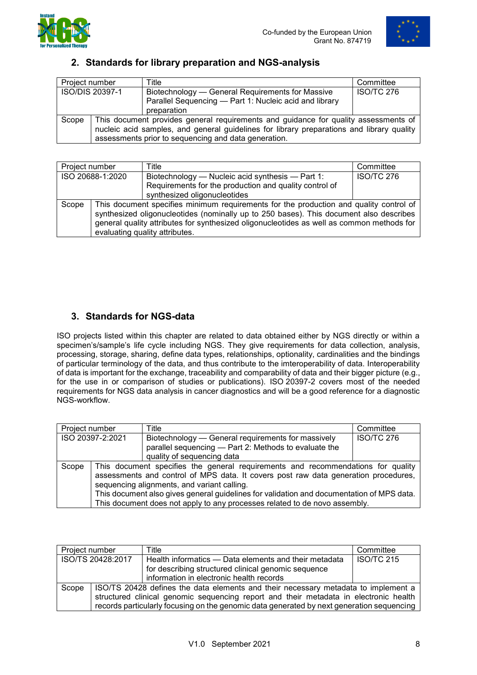



## **2. Standards for library preparation and NGS-analysis**

<span id="page-7-0"></span>

| Project number  |                                                                                           | Title                                                  | Committee         |
|-----------------|-------------------------------------------------------------------------------------------|--------------------------------------------------------|-------------------|
| ISO/DIS 20397-1 |                                                                                           | Biotechnology — General Requirements for Massive       | <b>ISO/TC 276</b> |
|                 |                                                                                           | Parallel Sequencing - Part 1: Nucleic acid and library |                   |
|                 |                                                                                           | preparation                                            |                   |
| Scope           | This document provides general requirements and guidance for quality assessments of       |                                                        |                   |
|                 | nucleic acid samples, and general guidelines for library preparations and library quality |                                                        |                   |
|                 | assessments prior to sequencing and data generation.                                      |                                                        |                   |

<span id="page-7-1"></span>

| Project number   |                                                                                           | Title                                                  | Committee         |
|------------------|-------------------------------------------------------------------------------------------|--------------------------------------------------------|-------------------|
| ISO 20688-1:2020 |                                                                                           | Biotechnology — Nucleic acid synthesis — Part 1:       | <b>ISO/TC 276</b> |
|                  |                                                                                           | Requirements for the production and quality control of |                   |
|                  |                                                                                           | synthesized oligonucleotides                           |                   |
| Scope            | This document specifies minimum requirements for the production and quality control of    |                                                        |                   |
|                  | synthesized oligonucleotides (nominally up to 250 bases). This document also describes    |                                                        |                   |
|                  | general quality attributes for synthesized oligonucleotides as well as common methods for |                                                        |                   |
|                  | evaluating quality attributes.                                                            |                                                        |                   |

# **3. Standards for NGS-data**

ISO projects listed within this chapter are related to data obtained either by NGS directly or within a specimen's/sample's life cycle including NGS. They give requirements for data collection, analysis, processing, storage, sharing, define data types, relationships, optionality, cardinalities and the bindings of particular terminology of the data, and thus contribute to the imteroperability of data. Interoperability of data is important for the exchange, traceability and comparability of data and their bigger picture (e.g., for the use in or comparison of studies or publications). ISO 20397-2 covers most of the needed requirements for NGS data analysis in cancer diagnostics and will be a good reference for a diagnostic NGS-workflow.

<span id="page-7-2"></span>

| Project number   |                                                                                                                                                                                                                                                                                                                                                                                                   | Title                                                                                                                                     | Committee         |
|------------------|---------------------------------------------------------------------------------------------------------------------------------------------------------------------------------------------------------------------------------------------------------------------------------------------------------------------------------------------------------------------------------------------------|-------------------------------------------------------------------------------------------------------------------------------------------|-------------------|
| ISO 20397-2:2021 |                                                                                                                                                                                                                                                                                                                                                                                                   | Biotechnology — General requirements for massively<br>parallel sequencing - Part 2: Methods to evaluate the<br>quality of sequencing data | <b>ISO/TC 276</b> |
| Scope            | This document specifies the general requirements and recommendations for quality<br>assessments and control of MPS data. It covers post raw data generation procedures,<br>sequencing alignments, and variant calling.<br>This document also gives general guidelines for validation and documentation of MPS data.<br>This document does not apply to any processes related to de novo assembly. |                                                                                                                                           |                   |

| Project number    |                                                                                           | Title                                                 | Committee         |
|-------------------|-------------------------------------------------------------------------------------------|-------------------------------------------------------|-------------------|
| ISO/TS 20428:2017 |                                                                                           | Health informatics — Data elements and their metadata | <b>ISO/TC 215</b> |
|                   |                                                                                           | for describing structured clinical genomic sequence   |                   |
|                   |                                                                                           | information in electronic health records              |                   |
| Scope             | ISO/TS 20428 defines the data elements and their necessary metadata to implement a        |                                                       |                   |
|                   | structured clinical genomic sequencing report and their metadata in electronic health     |                                                       |                   |
|                   | records particularly focusing on the genomic data generated by next generation sequencing |                                                       |                   |